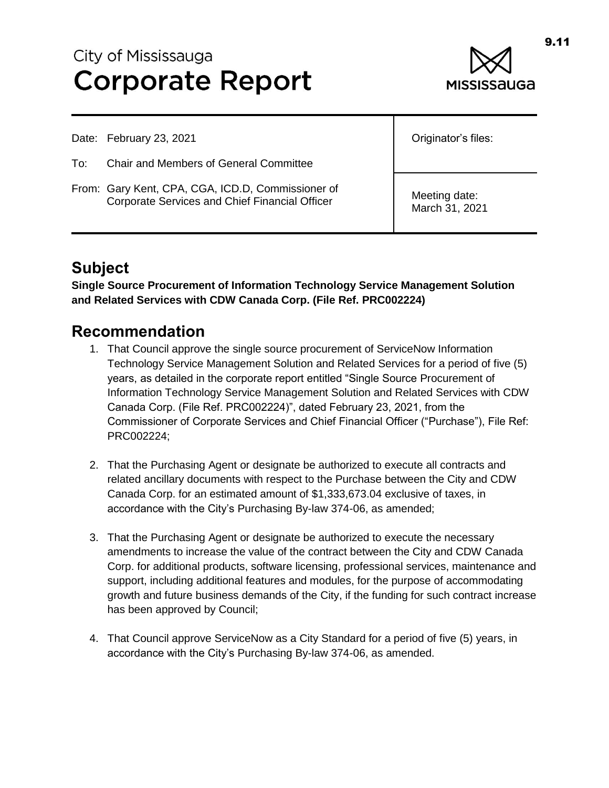# City of Mississauga **Corporate Report**



Date: February 23, 2021

- To: Chair and Members of General Committee
- From: Gary Kent, CPA, CGA, ICD.D, Commissioner of Corporate Services and Chief Financial Officer

Originator's files:

Meeting date: March 31, 2021

# **Subject**

**Single Source Procurement of Information Technology Service Management Solution and Related Services with CDW Canada Corp. (File Ref. PRC002224)**

### **Recommendation**

- 1. That Council approve the single source procurement of ServiceNow Information Technology Service Management Solution and Related Services for a period of five (5) years, as detailed in the corporate report entitled "Single Source Procurement of Information Technology Service Management Solution and Related Services with CDW Canada Corp. (File Ref. PRC002224)", dated February 23, 2021, from the Commissioner of Corporate Services and Chief Financial Officer ("Purchase"), File Ref: PRC002224;
- 2. That the Purchasing Agent or designate be authorized to execute all contracts and related ancillary documents with respect to the Purchase between the City and CDW Canada Corp. for an estimated amount of \$1,333,673.04 exclusive of taxes, in accordance with the City's Purchasing By-law 374-06, as amended;
- 3. That the Purchasing Agent or designate be authorized to execute the necessary amendments to increase the value of the contract between the City and CDW Canada Corp. for additional products, software licensing, professional services, maintenance and support, including additional features and modules, for the purpose of accommodating growth and future business demands of the City, if the funding for such contract increase has been approved by Council;
- 4. That Council approve ServiceNow as a City Standard for a period of five (5) years, in accordance with the City's Purchasing By-law 374-06, as amended.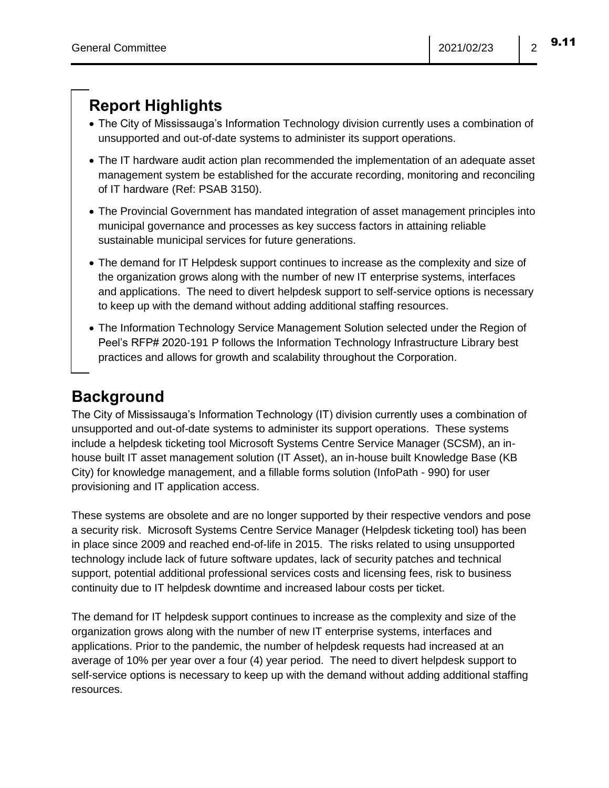# **Report Highlights**

- The City of Mississauga's Information Technology division currently uses a combination of unsupported and out-of-date systems to administer its support operations.
- The IT hardware audit action plan recommended the implementation of an adequate asset management system be established for the accurate recording, monitoring and reconciling of IT hardware (Ref: PSAB 3150).
- The Provincial Government has mandated integration of asset management principles into municipal governance and processes as key success factors in attaining reliable sustainable municipal services for future generations.
- The demand for IT Helpdesk support continues to increase as the complexity and size of the organization grows along with the number of new IT enterprise systems, interfaces and applications. The need to divert helpdesk support to self-service options is necessary to keep up with the demand without adding additional staffing resources.
- The Information Technology Service Management Solution selected under the Region of Peel's RFP# 2020-191 P follows the Information Technology Infrastructure Library best practices and allows for growth and scalability throughout the Corporation.

# **Background**

The City of Mississauga's Information Technology (IT) division currently uses a combination of unsupported and out-of-date systems to administer its support operations. These systems include a helpdesk ticketing tool Microsoft Systems Centre Service Manager (SCSM), an inhouse built IT asset management solution (IT Asset), an in-house built Knowledge Base (KB City) for knowledge management, and a fillable forms solution (InfoPath - 990) for user provisioning and IT application access.

These systems are obsolete and are no longer supported by their respective vendors and pose a security risk. Microsoft Systems Centre Service Manager (Helpdesk ticketing tool) has been in place since 2009 and reached end-of-life in 2015. The risks related to using unsupported technology include lack of future software updates, lack of security patches and technical support, potential additional professional services costs and licensing fees, risk to business continuity due to IT helpdesk downtime and increased labour costs per ticket.

The demand for IT helpdesk support continues to increase as the complexity and size of the organization grows along with the number of new IT enterprise systems, interfaces and applications. Prior to the pandemic, the number of helpdesk requests had increased at an average of 10% per year over a four (4) year period. The need to divert helpdesk support to self-service options is necessary to keep up with the demand without adding additional staffing resources.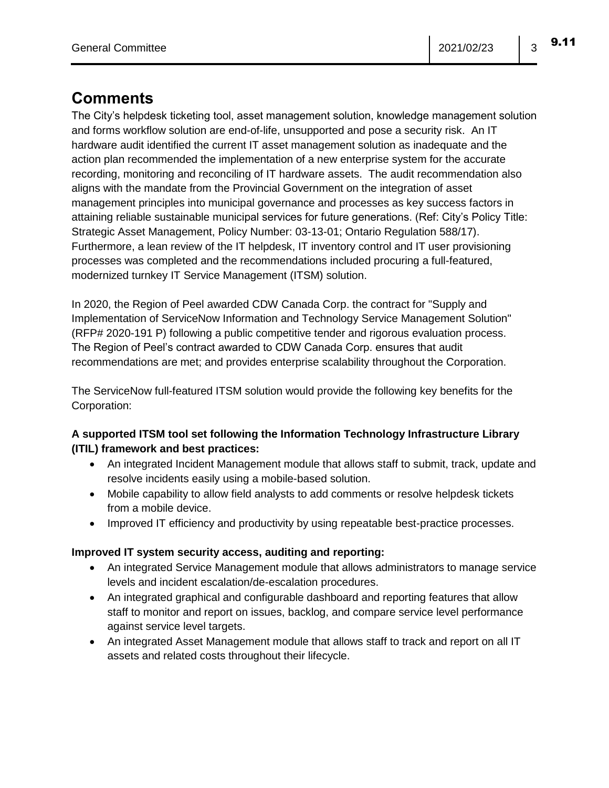# **Comments**

The City's helpdesk ticketing tool, asset management solution, knowledge management solution and forms workflow solution are end-of-life, unsupported and pose a security risk. An IT hardware audit identified the current IT asset management solution as inadequate and the action plan recommended the implementation of a new enterprise system for the accurate recording, monitoring and reconciling of IT hardware assets. The audit recommendation also aligns with the mandate from the Provincial Government on the integration of asset management principles into municipal governance and processes as key success factors in attaining reliable sustainable municipal services for future generations. (Ref: City's Policy Title: Strategic Asset Management, Policy Number: 03-13-01; Ontario Regulation 588/17). Furthermore, a lean review of the IT helpdesk, IT inventory control and IT user provisioning processes was completed and the recommendations included procuring a full-featured, modernized turnkey IT Service Management (ITSM) solution.

In 2020, the Region of Peel awarded CDW Canada Corp. the contract for "Supply and Implementation of ServiceNow Information and Technology Service Management Solution" (RFP# 2020-191 P) following a public competitive tender and rigorous evaluation process. The Region of Peel's contract awarded to CDW Canada Corp. ensures that audit recommendations are met; and provides enterprise scalability throughout the Corporation.

The ServiceNow full-featured ITSM solution would provide the following key benefits for the Corporation:

#### **A supported ITSM tool set following the Information Technology Infrastructure Library (ITIL) framework and best practices:**

- An integrated Incident Management module that allows staff to submit, track, update and resolve incidents easily using a mobile-based solution.
- Mobile capability to allow field analysts to add comments or resolve helpdesk tickets from a mobile device.
- Improved IT efficiency and productivity by using repeatable best-practice processes.

#### **Improved IT system security access, auditing and reporting:**

- An integrated Service Management module that allows administrators to manage service levels and incident escalation/de-escalation procedures.
- An integrated graphical and configurable dashboard and reporting features that allow staff to monitor and report on issues, backlog, and compare service level performance against service level targets.
- An integrated Asset Management module that allows staff to track and report on all IT assets and related costs throughout their lifecycle.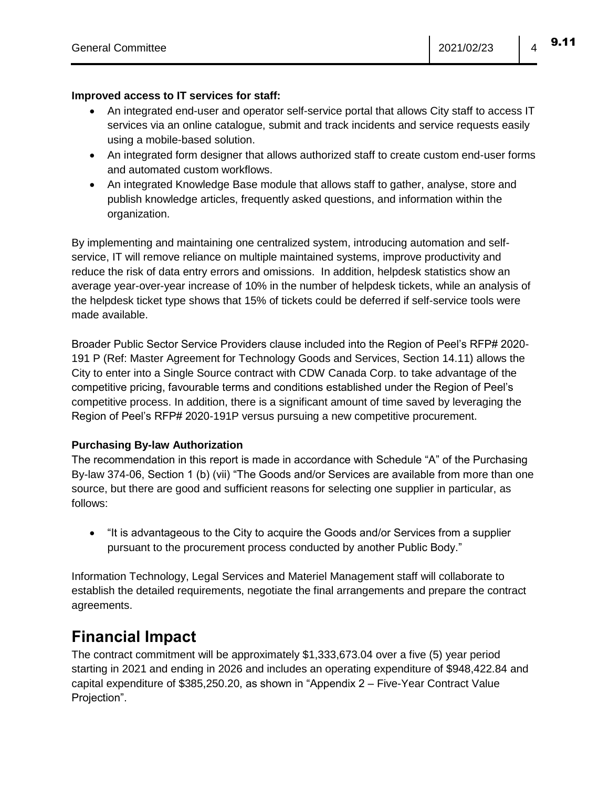#### **Improved access to IT services for staff:**

- An integrated end-user and operator self-service portal that allows City staff to access IT services via an online catalogue, submit and track incidents and service requests easily using a mobile-based solution.
- An integrated form designer that allows authorized staff to create custom end-user forms and automated custom workflows.
- An integrated Knowledge Base module that allows staff to gather, analyse, store and publish knowledge articles, frequently asked questions, and information within the organization.

By implementing and maintaining one centralized system, introducing automation and selfservice, IT will remove reliance on multiple maintained systems, improve productivity and reduce the risk of data entry errors and omissions. In addition, helpdesk statistics show an average year-over-year increase of 10% in the number of helpdesk tickets, while an analysis of the helpdesk ticket type shows that 15% of tickets could be deferred if self-service tools were made available.

Broader Public Sector Service Providers clause included into the Region of Peel's RFP# 2020- 191 P (Ref: Master Agreement for Technology Goods and Services, Section 14.11) allows the City to enter into a Single Source contract with CDW Canada Corp. to take advantage of the competitive pricing, favourable terms and conditions established under the Region of Peel's competitive process. In addition, there is a significant amount of time saved by leveraging the Region of Peel's RFP# 2020-191P versus pursuing a new competitive procurement.

#### **Purchasing By-law Authorization**

The recommendation in this report is made in accordance with Schedule "A" of the Purchasing By-law 374-06, Section 1 (b) (vii) "The Goods and/or Services are available from more than one source, but there are good and sufficient reasons for selecting one supplier in particular, as follows:

• "It is advantageous to the City to acquire the Goods and/or Services from a supplier pursuant to the procurement process conducted by another Public Body."

Information Technology, Legal Services and Materiel Management staff will collaborate to establish the detailed requirements, negotiate the final arrangements and prepare the contract agreements.

### **Financial Impact**

The contract commitment will be approximately \$1,333,673.04 over a five (5) year period starting in 2021 and ending in 2026 and includes an operating expenditure of \$948,422.84 and capital expenditure of \$385,250.20, as shown in "Appendix 2 – Five-Year Contract Value Projection".